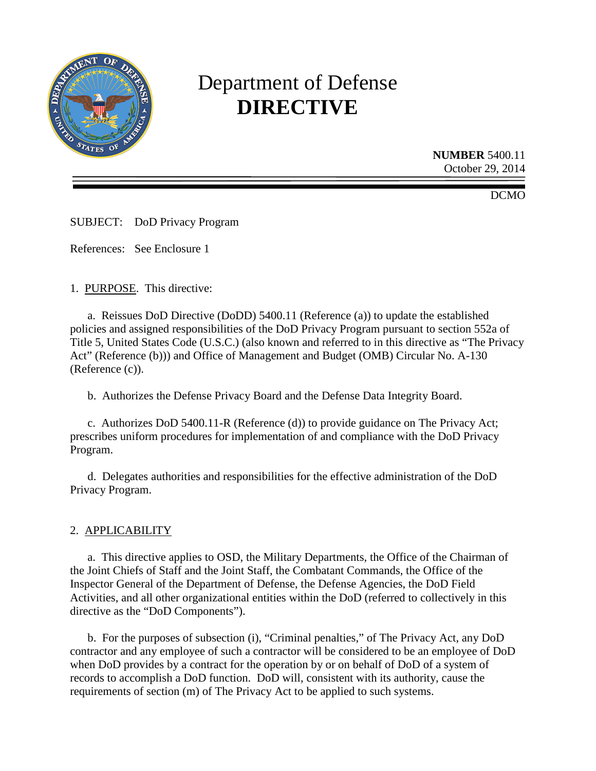

# Department of Defense **DIRECTIVE**

**NUMBER** 5400.11 October 29, 2014

DCMO

SUBJECT: DoD Privacy Program

References: See Enclosure 1

1. PURPOSE. This directive:

a. Reissues DoD Directive (DoDD) 5400.11 (Reference (a)) to update the established policies and assigned responsibilities of the DoD Privacy Program pursuant to section 552a of Title 5, United States Code (U.S.C.) (also known and referred to in this directive as "The Privacy Act" (Reference (b))) and Office of Management and Budget (OMB) Circular No. A-130 (Reference (c)).

b. Authorizes the Defense Privacy Board and the Defense Data Integrity Board.

c. Authorizes DoD 5400.11-R (Reference (d)) to provide guidance on The Privacy Act; prescribes uniform procedures for implementation of and compliance with the DoD Privacy Program.

d. Delegates authorities and responsibilities for the effective administration of the DoD Privacy Program.

## 2. APPLICABILITY

a. This directive applies to OSD, the Military Departments, the Office of the Chairman of the Joint Chiefs of Staff and the Joint Staff, the Combatant Commands, the Office of the Inspector General of the Department of Defense, the Defense Agencies, the DoD Field Activities, and all other organizational entities within the DoD (referred to collectively in this directive as the "DoD Components").

b. For the purposes of subsection (i), "Criminal penalties," of The Privacy Act, any DoD contractor and any employee of such a contractor will be considered to be an employee of DoD when DoD provides by a contract for the operation by or on behalf of DoD of a system of records to accomplish a DoD function. DoD will, consistent with its authority, cause the requirements of section (m) of The Privacy Act to be applied to such systems.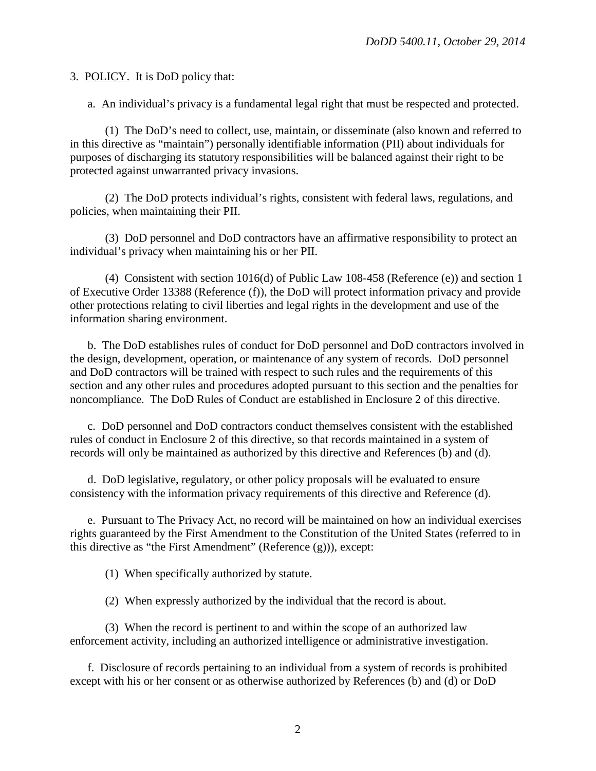3. POLICY. It is DoD policy that:

a. An individual's privacy is a fundamental legal right that must be respected and protected.

(1) The DoD's need to collect, use, maintain, or disseminate (also known and referred to in this directive as "maintain") personally identifiable information (PII) about individuals for purposes of discharging its statutory responsibilities will be balanced against their right to be protected against unwarranted privacy invasions.

(2) The DoD protects individual's rights, consistent with federal laws, regulations, and policies, when maintaining their PII.

(3) DoD personnel and DoD contractors have an affirmative responsibility to protect an individual's privacy when maintaining his or her PII.

(4) Consistent with section 1016(d) of Public Law 108-458 (Reference (e)) and section 1 of Executive Order 13388 (Reference (f)), the DoD will protect information privacy and provide other protections relating to civil liberties and legal rights in the development and use of the information sharing environment.

b. The DoD establishes rules of conduct for DoD personnel and DoD contractors involved in the design, development, operation, or maintenance of any system of records. DoD personnel and DoD contractors will be trained with respect to such rules and the requirements of this section and any other rules and procedures adopted pursuant to this section and the penalties for noncompliance. The DoD Rules of Conduct are established in Enclosure 2 of this directive.

c. DoD personnel and DoD contractors conduct themselves consistent with the established rules of conduct in Enclosure 2 of this directive, so that records maintained in a system of records will only be maintained as authorized by this directive and References (b) and (d).

d. DoD legislative, regulatory, or other policy proposals will be evaluated to ensure consistency with the information privacy requirements of this directive and Reference (d).

e. Pursuant to The Privacy Act, no record will be maintained on how an individual exercises rights guaranteed by the First Amendment to the Constitution of the United States (referred to in this directive as "the First Amendment" (Reference (g))), except:

(1) When specifically authorized by statute.

(2) When expressly authorized by the individual that the record is about.

(3) When the record is pertinent to and within the scope of an authorized law enforcement activity, including an authorized intelligence or administrative investigation.

f. Disclosure of records pertaining to an individual from a system of records is prohibited except with his or her consent or as otherwise authorized by References (b) and (d) or DoD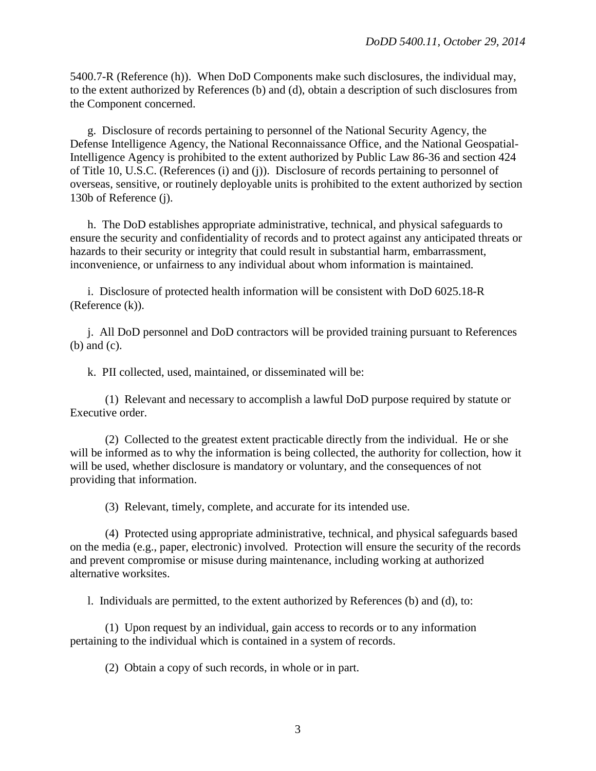5400.7-R (Reference (h)). When DoD Components make such disclosures, the individual may, to the extent authorized by References (b) and (d), obtain a description of such disclosures from the Component concerned.

g. Disclosure of records pertaining to personnel of the National Security Agency, the Defense Intelligence Agency, the National Reconnaissance Office, and the National Geospatial-Intelligence Agency is prohibited to the extent authorized by Public Law 86-36 and section 424 of Title 10, U.S.C. (References (i) and (j)). Disclosure of records pertaining to personnel of overseas, sensitive, or routinely deployable units is prohibited to the extent authorized by section 130b of Reference (j).

h. The DoD establishes appropriate administrative, technical, and physical safeguards to ensure the security and confidentiality of records and to protect against any anticipated threats or hazards to their security or integrity that could result in substantial harm, embarrassment, inconvenience, or unfairness to any individual about whom information is maintained.

i. Disclosure of protected health information will be consistent with DoD 6025.18-R (Reference (k)).

j. All DoD personnel and DoD contractors will be provided training pursuant to References (b) and (c).

k. PII collected, used, maintained, or disseminated will be:

(1) Relevant and necessary to accomplish a lawful DoD purpose required by statute or Executive order.

(2) Collected to the greatest extent practicable directly from the individual. He or she will be informed as to why the information is being collected, the authority for collection, how it will be used, whether disclosure is mandatory or voluntary, and the consequences of not providing that information.

(3) Relevant, timely, complete, and accurate for its intended use.

(4) Protected using appropriate administrative, technical, and physical safeguards based on the media (e.g., paper, electronic) involved. Protection will ensure the security of the records and prevent compromise or misuse during maintenance, including working at authorized alternative worksites.

l. Individuals are permitted, to the extent authorized by References (b) and (d), to:

(1) Upon request by an individual, gain access to records or to any information pertaining to the individual which is contained in a system of records.

(2) Obtain a copy of such records, in whole or in part.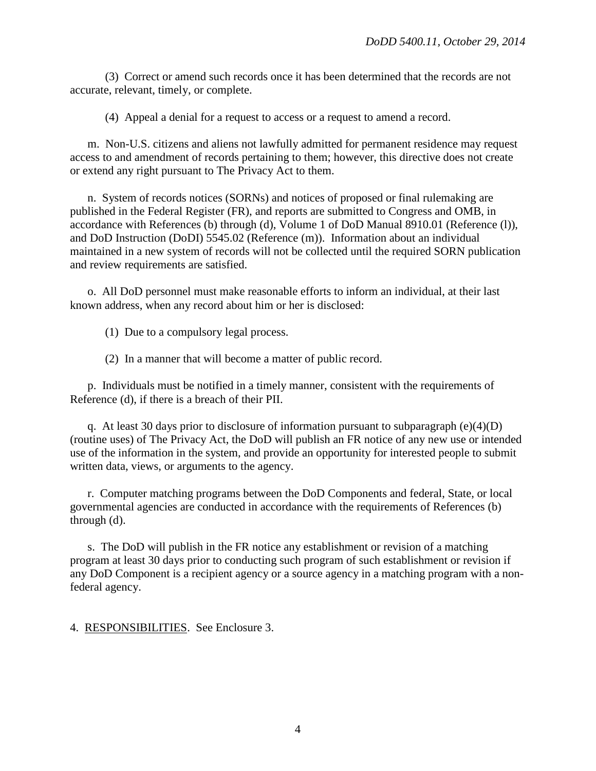(3) Correct or amend such records once it has been determined that the records are not accurate, relevant, timely, or complete.

(4) Appeal a denial for a request to access or a request to amend a record.

m. Non-U.S. citizens and aliens not lawfully admitted for permanent residence may request access to and amendment of records pertaining to them; however, this directive does not create or extend any right pursuant to The Privacy Act to them.

n. System of records notices (SORNs) and notices of proposed or final rulemaking are published in the Federal Register (FR), and reports are submitted to Congress and OMB, in accordance with References (b) through (d), Volume 1 of DoD Manual 8910.01 (Reference (l)), and DoD Instruction (DoDI) 5545.02 (Reference (m)). Information about an individual maintained in a new system of records will not be collected until the required SORN publication and review requirements are satisfied.

o. All DoD personnel must make reasonable efforts to inform an individual, at their last known address, when any record about him or her is disclosed:

(1) Due to a compulsory legal process.

(2) In a manner that will become a matter of public record.

p. Individuals must be notified in a timely manner, consistent with the requirements of Reference (d), if there is a breach of their PII.

q. At least 30 days prior to disclosure of information pursuant to subparagraph  $(e)(4)(D)$ (routine uses) of The Privacy Act, the DoD will publish an FR notice of any new use or intended use of the information in the system, and provide an opportunity for interested people to submit written data, views, or arguments to the agency.

r. Computer matching programs between the DoD Components and federal, State, or local governmental agencies are conducted in accordance with the requirements of References (b) through (d).

s. The DoD will publish in the FR notice any establishment or revision of a matching program at least 30 days prior to conducting such program of such establishment or revision if any DoD Component is a recipient agency or a source agency in a matching program with a nonfederal agency.

4. RESPONSIBILITIES. See Enclosure 3.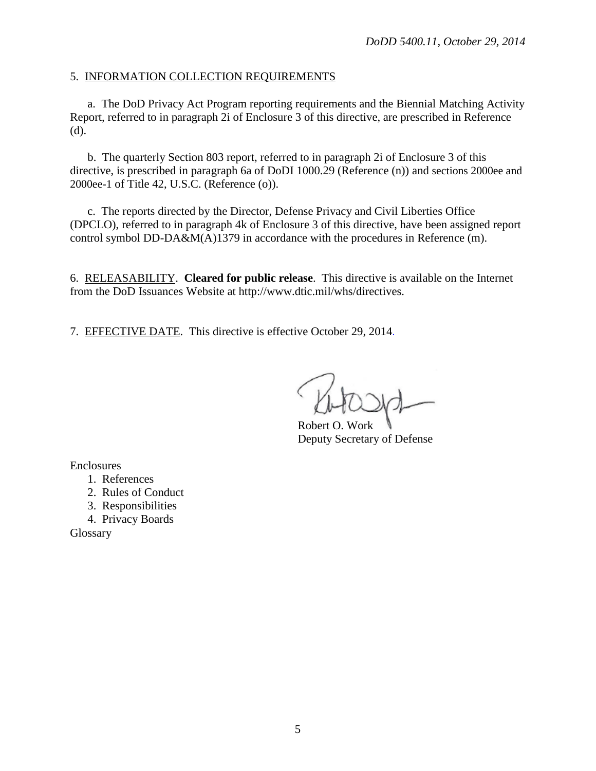#### 5. INFORMATION COLLECTION REQUIREMENTS

a. The DoD Privacy Act Program reporting requirements and the Biennial Matching Activity Report, referred to in paragraph 2i of Enclosure 3 of this directive, are prescribed in Reference (d).

b. The quarterly Section 803 report, referred to in paragraph 2i of Enclosure 3 of this directive, is prescribed in paragraph 6a of DoDI 1000.29 (Reference (n)) and sections 2000ee and 2000ee-1 of Title 42, U.S.C. (Reference (o)).

c. The reports directed by the Director, Defense Privacy and Civil Liberties Office (DPCLO), referred to in paragraph 4k of Enclosure 3 of this directive, have been assigned report control symbol DD-DA&M(A)1379 in accordance with the procedures in Reference (m).

6. RELEASABILITY. **Cleared for public release**. This directive is available on the Internet from the DoD Issuances Website at http://www.dtic.mil/whs/directives.

7. EFFECTIVE DATE. This directive is effective October 29, 2014.

Robert O. Work Deputy Secretary of Defense

Enclosures

- 1. References
- 2. Rules of Conduct
- 3. Responsibilities
- 4. Privacy Boards

**Glossary**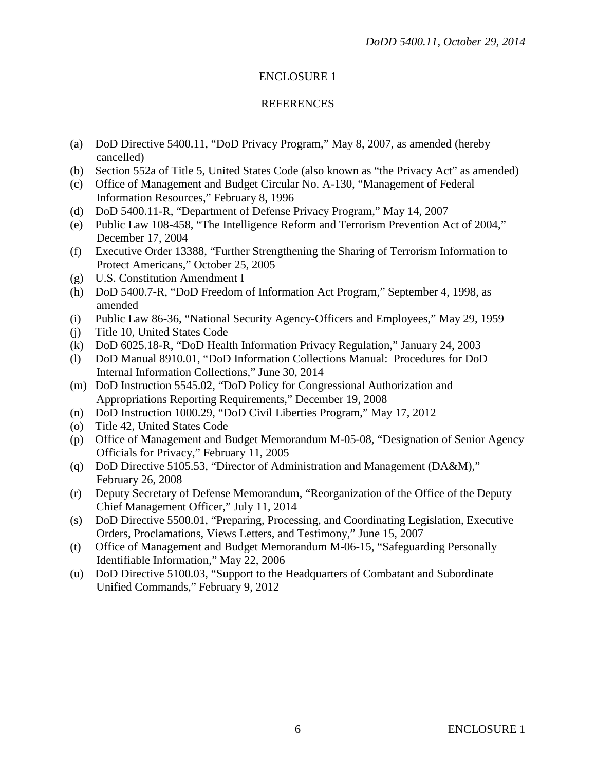#### REFERENCES

- (a) DoD Directive 5400.11, "DoD Privacy Program," May 8, 2007, as amended (hereby cancelled)
- (b) Section 552a of Title 5, United States Code (also known as "the Privacy Act" as amended)
- (c) Office of Management and Budget Circular No. A-130, "Management of Federal Information Resources," February 8, 1996
- (d) DoD 5400.11-R, "Department of Defense Privacy Program," May 14, 2007
- (e) Public Law 108-458, "The Intelligence Reform and Terrorism Prevention Act of 2004," December 17, 2004
- (f) Executive Order 13388, "Further Strengthening the Sharing of Terrorism Information to Protect Americans," October 25, 2005
- (g) U.S. Constitution Amendment I
- (h) DoD 5400.7-R, "DoD Freedom of Information Act Program," September 4, 1998, as amended
- (i) Public Law 86-36, "National Security Agency-Officers and Employees," May 29, 1959
- (j) Title 10, United States Code
- (k) DoD 6025.18-R, "DoD Health Information Privacy Regulation," January 24, 2003
- (l) DoD Manual 8910.01, "DoD Information Collections Manual: Procedures for DoD Internal Information Collections," June 30, 2014
- (m) DoD Instruction 5545.02, "DoD Policy for Congressional Authorization and Appropriations Reporting Requirements," December 19, 2008
- (n) DoD Instruction 1000.29, "DoD Civil Liberties Program," May 17, 2012
- (o) Title 42, United States Code
- (p) Office of Management and Budget Memorandum M-05-08, "Designation of Senior Agency Officials for Privacy," February 11, 2005
- (q) DoD Directive 5105.53, "Director of Administration and Management (DA&M)," February 26, 2008
- (r) Deputy Secretary of Defense Memorandum, "Reorganization of the Office of the Deputy Chief Management Officer," July 11, 2014
- (s) DoD Directive 5500.01, "Preparing, Processing, and Coordinating Legislation, Executive Orders, Proclamations, Views Letters, and Testimony," June 15, 2007
- (t) Office of Management and Budget Memorandum M-06-15, "Safeguarding Personally Identifiable Information," May 22, 2006
- (u) DoD Directive 5100.03, "Support to the Headquarters of Combatant and Subordinate Unified Commands," February 9, 2012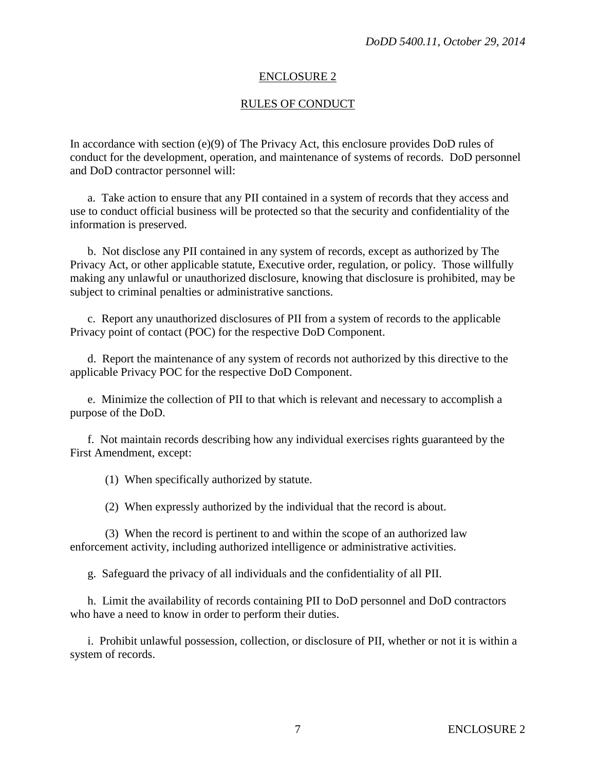#### RULES OF CONDUCT

In accordance with section (e)(9) of The Privacy Act, this enclosure provides DoD rules of conduct for the development, operation, and maintenance of systems of records. DoD personnel and DoD contractor personnel will:

a. Take action to ensure that any PII contained in a system of records that they access and use to conduct official business will be protected so that the security and confidentiality of the information is preserved.

b. Not disclose any PII contained in any system of records, except as authorized by The Privacy Act, or other applicable statute, Executive order, regulation, or policy. Those willfully making any unlawful or unauthorized disclosure, knowing that disclosure is prohibited, may be subject to criminal penalties or administrative sanctions.

c. Report any unauthorized disclosures of PII from a system of records to the applicable Privacy point of contact (POC) for the respective DoD Component.

d. Report the maintenance of any system of records not authorized by this directive to the applicable Privacy POC for the respective DoD Component.

e. Minimize the collection of PII to that which is relevant and necessary to accomplish a purpose of the DoD.

f. Not maintain records describing how any individual exercises rights guaranteed by the First Amendment, except:

(1) When specifically authorized by statute.

(2) When expressly authorized by the individual that the record is about.

(3) When the record is pertinent to and within the scope of an authorized law enforcement activity, including authorized intelligence or administrative activities.

g. Safeguard the privacy of all individuals and the confidentiality of all PII.

h. Limit the availability of records containing PII to DoD personnel and DoD contractors who have a need to know in order to perform their duties.

i. Prohibit unlawful possession, collection, or disclosure of PII, whether or not it is within a system of records.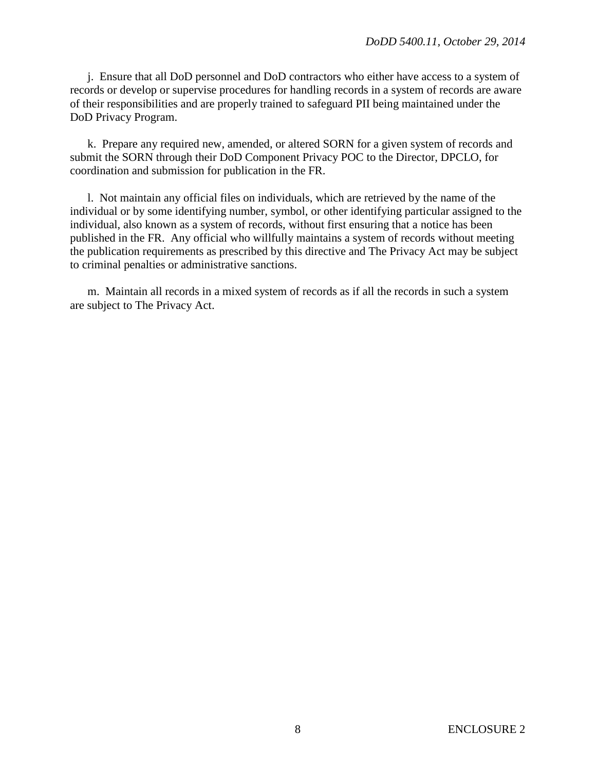j. Ensure that all DoD personnel and DoD contractors who either have access to a system of records or develop or supervise procedures for handling records in a system of records are aware of their responsibilities and are properly trained to safeguard PII being maintained under the DoD Privacy Program.

k. Prepare any required new, amended, or altered SORN for a given system of records and submit the SORN through their DoD Component Privacy POC to the Director, DPCLO, for coordination and submission for publication in the FR.

l. Not maintain any official files on individuals, which are retrieved by the name of the individual or by some identifying number, symbol, or other identifying particular assigned to the individual, also known as a system of records, without first ensuring that a notice has been published in the FR. Any official who willfully maintains a system of records without meeting the publication requirements as prescribed by this directive and The Privacy Act may be subject to criminal penalties or administrative sanctions.

m. Maintain all records in a mixed system of records as if all the records in such a system are subject to The Privacy Act.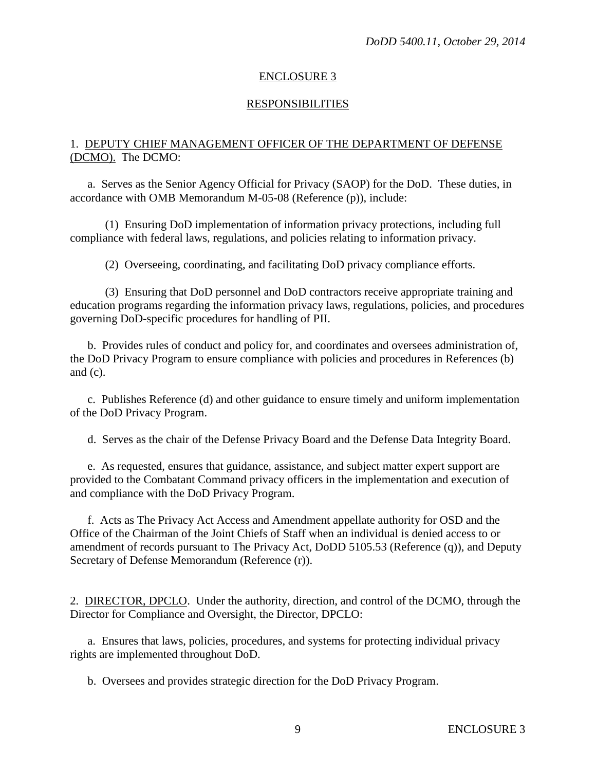#### RESPONSIBILITIES

## 1. DEPUTY CHIEF MANAGEMENT OFFICER OF THE DEPARTMENT OF DEFENSE (DCMO). The DCMO:

a. Serves as the Senior Agency Official for Privacy (SAOP) for the DoD. These duties, in accordance with OMB Memorandum M-05-08 (Reference (p)), include:

(1) Ensuring DoD implementation of information privacy protections, including full compliance with federal laws, regulations, and policies relating to information privacy.

(2) Overseeing, coordinating, and facilitating DoD privacy compliance efforts.

(3) Ensuring that DoD personnel and DoD contractors receive appropriate training and education programs regarding the information privacy laws, regulations, policies, and procedures governing DoD-specific procedures for handling of PII.

b. Provides rules of conduct and policy for, and coordinates and oversees administration of, the DoD Privacy Program to ensure compliance with policies and procedures in References (b) and (c).

c. Publishes Reference (d) and other guidance to ensure timely and uniform implementation of the DoD Privacy Program.

d. Serves as the chair of the Defense Privacy Board and the Defense Data Integrity Board.

e. As requested, ensures that guidance, assistance, and subject matter expert support are provided to the Combatant Command privacy officers in the implementation and execution of and compliance with the DoD Privacy Program.

f. Acts as The Privacy Act Access and Amendment appellate authority for OSD and the Office of the Chairman of the Joint Chiefs of Staff when an individual is denied access to or amendment of records pursuant to The Privacy Act, DoDD 5105.53 (Reference (q)), and Deputy Secretary of Defense Memorandum (Reference (r)).

2. DIRECTOR, DPCLO. Under the authority, direction, and control of the DCMO, through the Director for Compliance and Oversight, the Director, DPCLO:

a. Ensures that laws, policies, procedures, and systems for protecting individual privacy rights are implemented throughout DoD.

b. Oversees and provides strategic direction for the DoD Privacy Program.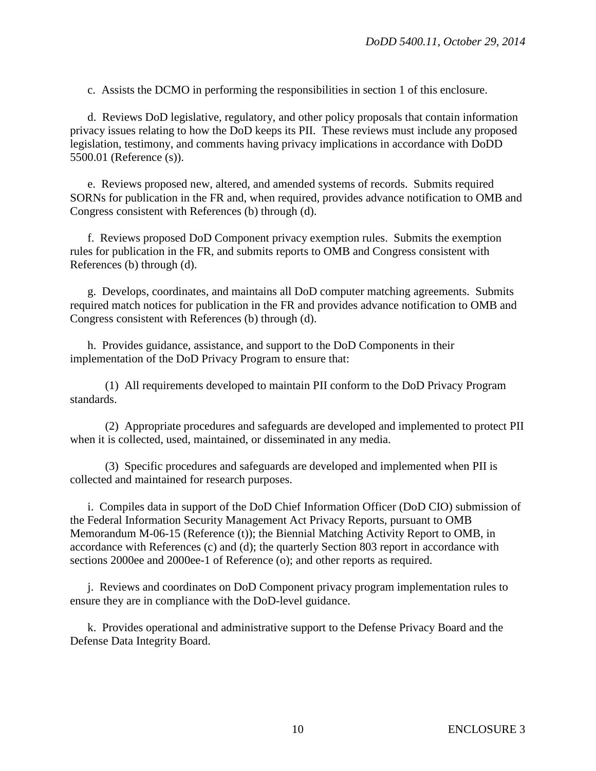c. Assists the DCMO in performing the responsibilities in section 1 of this enclosure.

d. Reviews DoD legislative, regulatory, and other policy proposals that contain information privacy issues relating to how the DoD keeps its PII. These reviews must include any proposed legislation, testimony, and comments having privacy implications in accordance with DoDD 5500.01 (Reference (s)).

e. Reviews proposed new, altered, and amended systems of records. Submits required SORNs for publication in the FR and, when required, provides advance notification to OMB and Congress consistent with References (b) through (d).

f. Reviews proposed DoD Component privacy exemption rules. Submits the exemption rules for publication in the FR, and submits reports to OMB and Congress consistent with References (b) through (d).

g. Develops, coordinates, and maintains all DoD computer matching agreements. Submits required match notices for publication in the FR and provides advance notification to OMB and Congress consistent with References (b) through (d).

h. Provides guidance, assistance, and support to the DoD Components in their implementation of the DoD Privacy Program to ensure that:

(1) All requirements developed to maintain PII conform to the DoD Privacy Program standards.

(2) Appropriate procedures and safeguards are developed and implemented to protect PII when it is collected, used, maintained, or disseminated in any media.

(3) Specific procedures and safeguards are developed and implemented when PII is collected and maintained for research purposes.

i. Compiles data in support of the DoD Chief Information Officer (DoD CIO) submission of the Federal Information Security Management Act Privacy Reports, pursuant to OMB Memorandum M-06-15 (Reference (t)); the Biennial Matching Activity Report to OMB, in accordance with References (c) and (d); the quarterly Section 803 report in accordance with sections 2000ee and 2000ee-1 of Reference (o); and other reports as required.

j. Reviews and coordinates on DoD Component privacy program implementation rules to ensure they are in compliance with the DoD-level guidance.

k. Provides operational and administrative support to the Defense Privacy Board and the Defense Data Integrity Board.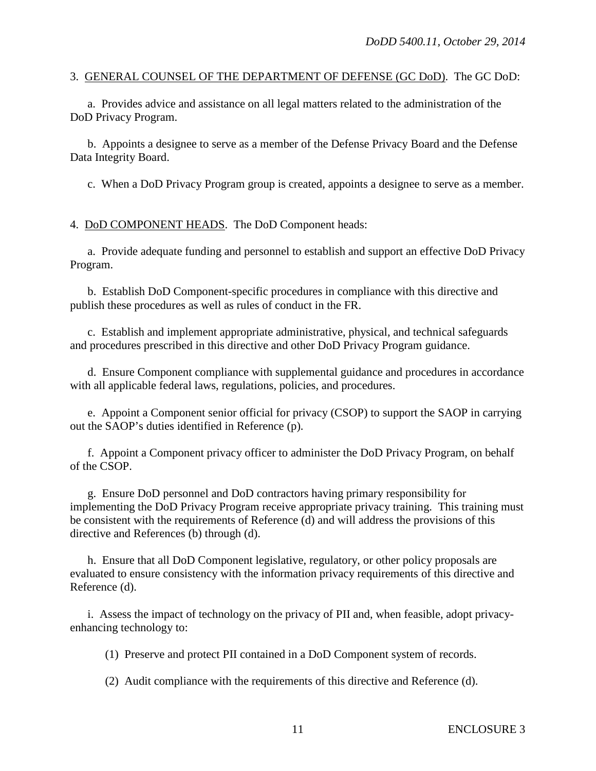#### 3. GENERAL COUNSEL OF THE DEPARTMENT OF DEFENSE (GC DoD). The GC DoD:

a. Provides advice and assistance on all legal matters related to the administration of the DoD Privacy Program.

b. Appoints a designee to serve as a member of the Defense Privacy Board and the Defense Data Integrity Board.

c. When a DoD Privacy Program group is created, appoints a designee to serve as a member.

4. DoD COMPONENT HEADS. The DoD Component heads:

a. Provide adequate funding and personnel to establish and support an effective DoD Privacy Program.

b. Establish DoD Component-specific procedures in compliance with this directive and publish these procedures as well as rules of conduct in the FR.

c. Establish and implement appropriate administrative, physical, and technical safeguards and procedures prescribed in this directive and other DoD Privacy Program guidance.

d. Ensure Component compliance with supplemental guidance and procedures in accordance with all applicable federal laws, regulations, policies, and procedures.

e. Appoint a Component senior official for privacy (CSOP) to support the SAOP in carrying out the SAOP's duties identified in Reference (p).

f. Appoint a Component privacy officer to administer the DoD Privacy Program, on behalf of the CSOP.

g. Ensure DoD personnel and DoD contractors having primary responsibility for implementing the DoD Privacy Program receive appropriate privacy training. This training must be consistent with the requirements of Reference (d) and will address the provisions of this directive and References (b) through (d).

h. Ensure that all DoD Component legislative, regulatory, or other policy proposals are evaluated to ensure consistency with the information privacy requirements of this directive and Reference (d).

i. Assess the impact of technology on the privacy of PII and, when feasible, adopt privacyenhancing technology to:

(1) Preserve and protect PII contained in a DoD Component system of records.

(2) Audit compliance with the requirements of this directive and Reference (d).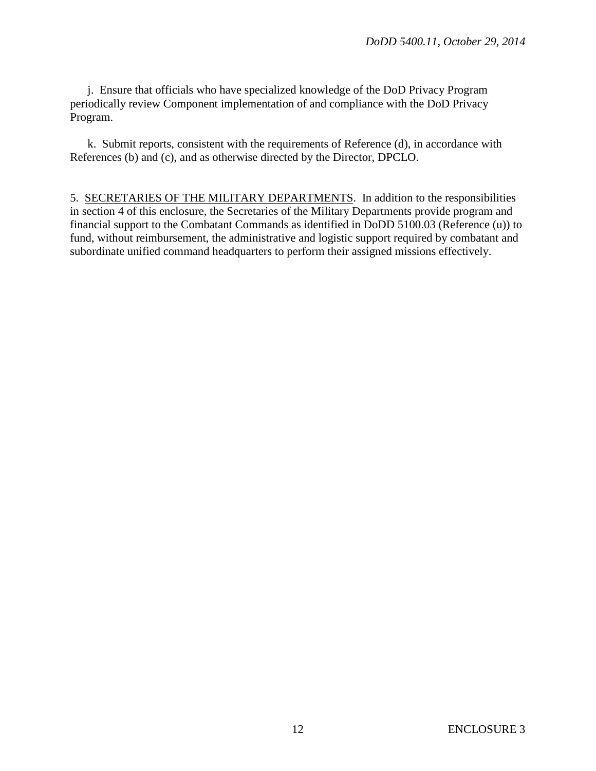j. Ensure that officials who have specialized knowledge of the DoD Privacy Program periodically review Component implementation of and compliance with the DoD Privacy Program.

k. Submit reports, consistent with the requirements of Reference (d), in accordance with References (b) and (c), and as otherwise directed by the Director, DPCLO.

5. SECRETARIES OF THE MILITARY DEPARTMENTS. In addition to the responsibilities in section 4 of this enclosure, the Secretaries of the Military Departments provide program and financial support to the Combatant Commands as identified in DoDD 5100.03 (Reference (u)) to fund, without reimbursement, the administrative and logistic support required by combatant and subordinate unified command headquarters to perform their assigned missions effectively.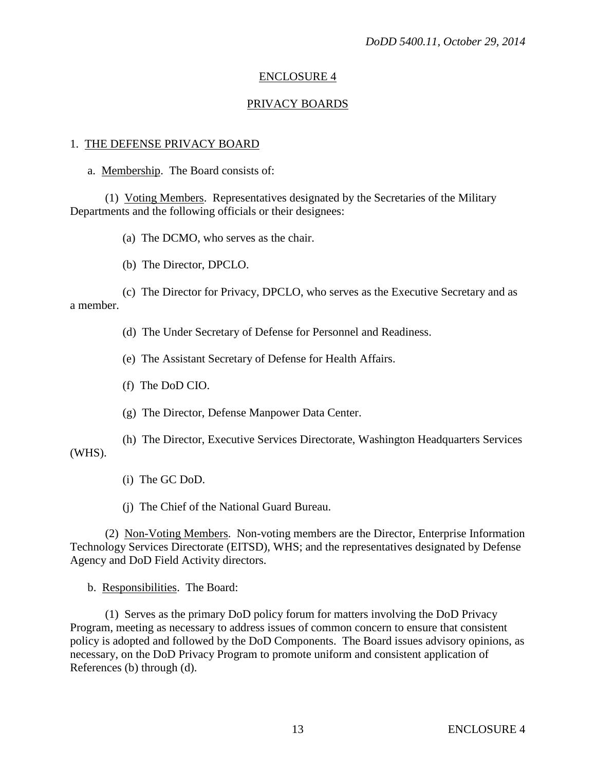#### PRIVACY BOARDS

#### 1. THE DEFENSE PRIVACY BOARD

a. Membership. The Board consists of:

(1) Voting Members. Representatives designated by the Secretaries of the Military Departments and the following officials or their designees:

(a) The DCMO, who serves as the chair.

(b) The Director, DPCLO.

(c) The Director for Privacy, DPCLO, who serves as the Executive Secretary and as a member.

(d) The Under Secretary of Defense for Personnel and Readiness.

(e) The Assistant Secretary of Defense for Health Affairs.

(f) The DoD CIO.

(g) The Director, Defense Manpower Data Center.

(h) The Director, Executive Services Directorate, Washington Headquarters Services (WHS).

(i) The GC DoD.

(j) The Chief of the National Guard Bureau.

(2) Non-Voting Members. Non-voting members are the Director, Enterprise Information Technology Services Directorate (EITSD), WHS; and the representatives designated by Defense Agency and DoD Field Activity directors.

b. Responsibilities. The Board:

(1) Serves as the primary DoD policy forum for matters involving the DoD Privacy Program, meeting as necessary to address issues of common concern to ensure that consistent policy is adopted and followed by the DoD Components. The Board issues advisory opinions, as necessary, on the DoD Privacy Program to promote uniform and consistent application of References (b) through (d).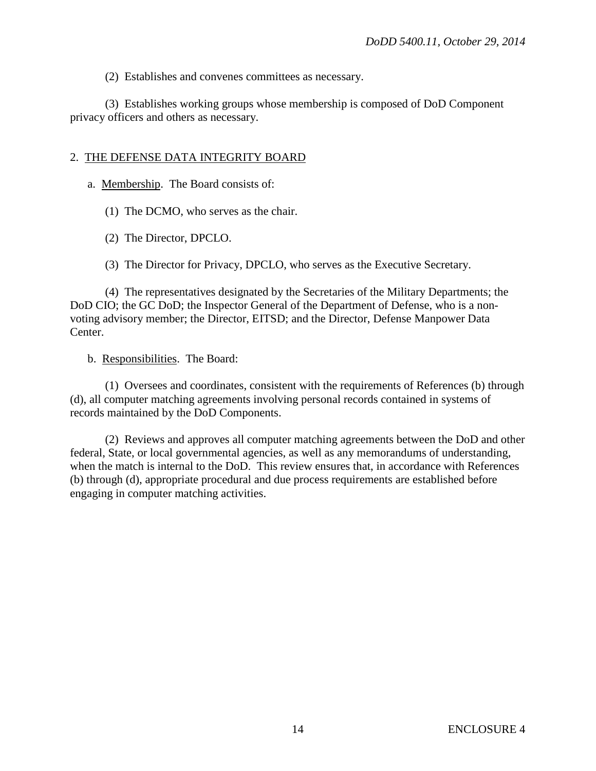(2) Establishes and convenes committees as necessary.

(3) Establishes working groups whose membership is composed of DoD Component privacy officers and others as necessary.

#### 2. THE DEFENSE DATA INTEGRITY BOARD

a. Membership. The Board consists of:

(1) The DCMO, who serves as the chair.

(2) The Director, DPCLO.

(3) The Director for Privacy, DPCLO, who serves as the Executive Secretary.

(4) The representatives designated by the Secretaries of the Military Departments; the DoD CIO; the GC DoD; the Inspector General of the Department of Defense, who is a nonvoting advisory member; the Director, EITSD; and the Director, Defense Manpower Data Center.

b. Responsibilities. The Board:

(1) Oversees and coordinates, consistent with the requirements of References (b) through (d), all computer matching agreements involving personal records contained in systems of records maintained by the DoD Components.

(2) Reviews and approves all computer matching agreements between the DoD and other federal, State, or local governmental agencies, as well as any memorandums of understanding, when the match is internal to the DoD. This review ensures that, in accordance with References (b) through (d), appropriate procedural and due process requirements are established before engaging in computer matching activities.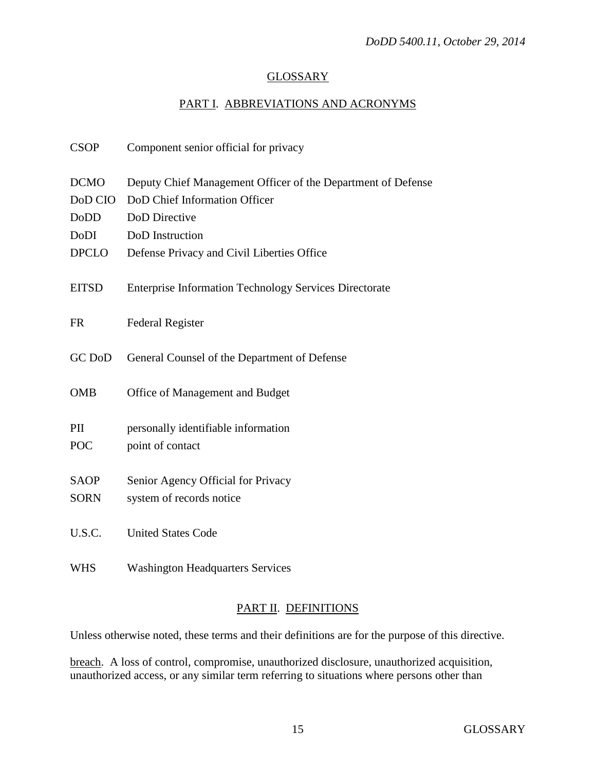# **GLOSSARY**

# PART I. ABBREVIATIONS AND ACRONYMS

| <b>CSOP</b>  | Component senior official for privacy                         |
|--------------|---------------------------------------------------------------|
| <b>DCMO</b>  | Deputy Chief Management Officer of the Department of Defense  |
| DoD CIO      | DoD Chief Information Officer                                 |
| <b>DoDD</b>  | DoD Directive                                                 |
| DoDI         | DoD Instruction                                               |
| <b>DPCLO</b> | Defense Privacy and Civil Liberties Office                    |
| <b>EITSD</b> | <b>Enterprise Information Technology Services Directorate</b> |
| <b>FR</b>    | <b>Federal Register</b>                                       |
| GC DoD       | General Counsel of the Department of Defense                  |
| <b>OMB</b>   | Office of Management and Budget                               |
| PII          | personally identifiable information                           |
| <b>POC</b>   | point of contact                                              |
| <b>SAOP</b>  | Senior Agency Official for Privacy                            |
| <b>SORN</b>  | system of records notice                                      |
|              |                                                               |
| U.S.C.       | <b>United States Code</b>                                     |
| <b>WHS</b>   | <b>Washington Headquarters Services</b>                       |

## PART II. DEFINITIONS

Unless otherwise noted, these terms and their definitions are for the purpose of this directive.

breach. A loss of control, compromise, unauthorized disclosure, unauthorized acquisition, unauthorized access, or any similar term referring to situations where persons other than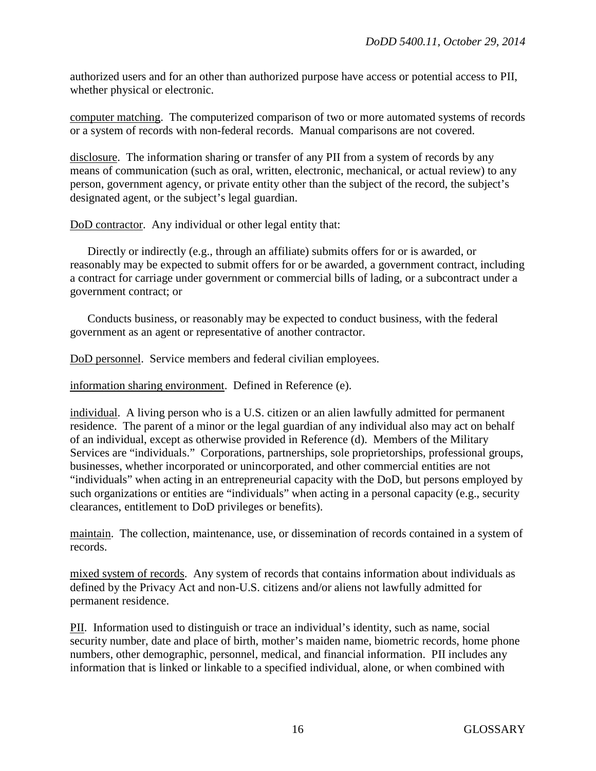authorized users and for an other than authorized purpose have access or potential access to PII, whether physical or electronic.

computer matching. The computerized comparison of two or more automated systems of records or a system of records with non-federal records. Manual comparisons are not covered.

disclosure. The information sharing or transfer of any PII from a system of records by any means of communication (such as oral, written, electronic, mechanical, or actual review) to any person, government agency, or private entity other than the subject of the record, the subject's designated agent, or the subject's legal guardian.

DoD contractor. Any individual or other legal entity that:

Directly or indirectly (e.g., through an affiliate) submits offers for or is awarded, or reasonably may be expected to submit offers for or be awarded, a government contract, including a contract for carriage under government or commercial bills of lading, or a subcontract under a government contract; or

Conducts business, or reasonably may be expected to conduct business, with the federal government as an agent or representative of another contractor.

DoD personnel. Service members and federal civilian employees.

information sharing environment. Defined in Reference (e).

individual. A living person who is a U.S. citizen or an alien lawfully admitted for permanent residence. The parent of a minor or the legal guardian of any individual also may act on behalf of an individual, except as otherwise provided in Reference (d). Members of the Military Services are "individuals." Corporations, partnerships, sole proprietorships, professional groups, businesses, whether incorporated or unincorporated, and other commercial entities are not "individuals" when acting in an entrepreneurial capacity with the DoD, but persons employed by such organizations or entities are "individuals" when acting in a personal capacity (e.g., security clearances, entitlement to DoD privileges or benefits).

maintain. The collection, maintenance, use, or dissemination of records contained in a system of records.

mixed system of records. Any system of records that contains information about individuals as defined by the Privacy Act and non-U.S. citizens and/or aliens not lawfully admitted for permanent residence.

PII. Information used to distinguish or trace an individual's identity, such as name, social security number, date and place of birth, mother's maiden name, biometric records, home phone numbers, other demographic, personnel, medical, and financial information. PII includes any information that is linked or linkable to a specified individual, alone, or when combined with